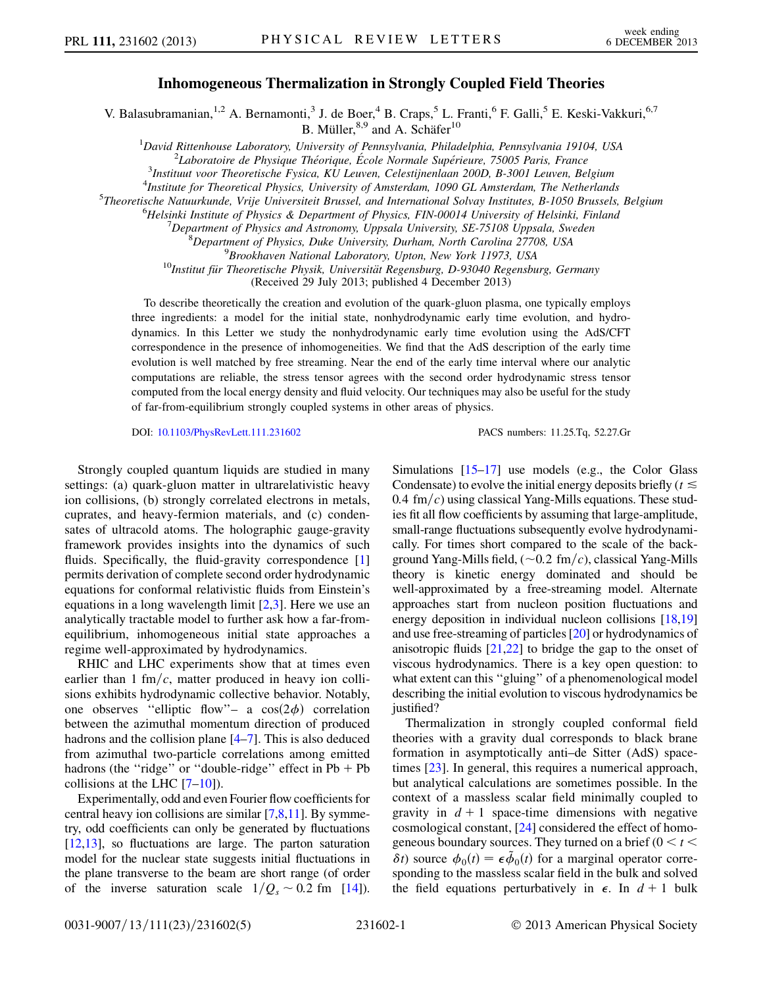## Inhomogeneous Thermalization in Strongly Coupled Field Theories

V. Balasubramanian,<sup>1,2</sup> A. Bernamonti,<sup>3</sup> J. de Boer,<sup>4</sup> B. Craps,<sup>5</sup> L. Franti,<sup>6</sup> F. Galli,<sup>5</sup> E. Keski-Vakkuri,<sup>6,7</sup> B. Müller, $8,9$  and A. Schäfer $10$ 

<sup>1</sup>David Rittenhouse Laboratory, University of Pennsylvania, Philadelphia, Pennsylvania 19104, USA<br><sup>2</sup>Laboratoire de Physique Théorique, Égole Normale Supérieure, 75005 Paris, France  $2L$ aboratoire de Physique Théorique, École Normale Supérieure, 75005 Paris, France

 $3$ Instituut voor Theoretische Fysica, KU Leuven, Celestijnenlaan 200D, B-3001 Leuven, Belgium

 $^{4}$ Institute for Theoretical Physics, University of Amsterdam, 1090 GL Amsterdam, The Netherlands

 $5$ Theoretische Natuurkunde, Vrije Universiteit Brussel, and International Solvay Institutes, B-1050 Brussels, Belgium

 $heta$ Helsinki Institute of Physics & Department of Physics, FIN-00014 University of Helsinki, Finland

 $^{7}$ Department of Physics and Astronomy, Uppsala University, SE-75108 Uppsala, Sweden

<sup>8</sup>Department of Physics, Duke University, Durham, North Carolina 27708, USA<br><sup>9</sup>Brookhaven National Laboratory, Upton, New York 11973, USA

 $^{10}$ Institut für Theoretische Physik, Universität Regensburg, D-93040 Regensburg, Germany

(Received 29 July 2013; published 4 December 2013)

To describe theoretically the creation and evolution of the quark-gluon plasma, one typically employs three ingredients: a model for the initial state, nonhydrodynamic early time evolution, and hydrodynamics. In this Letter we study the nonhydrodynamic early time evolution using the AdS/CFT correspondence in the presence of inhomogeneities. We find that the AdS description of the early time evolution is well matched by free streaming. Near the end of the early time interval where our analytic computations are reliable, the stress tensor agrees with the second order hydrodynamic stress tensor computed from the local energy density and fluid velocity. Our techniques may also be useful for the study of far-from-equilibrium strongly coupled systems in other areas of physics.

DOI: [10.1103/PhysRevLett.111.231602](http://dx.doi.org/10.1103/PhysRevLett.111.231602) PACS numbers: 11.25.Tq, 52.27.Gr

Strongly coupled quantum liquids are studied in many settings: (a) quark-gluon matter in ultrarelativistic heavy ion collisions, (b) strongly correlated electrons in metals, cuprates, and heavy-fermion materials, and (c) condensates of ultracold atoms. The holographic gauge-gravity framework provides insights into the dynamics of such fluids. Specifically, the fluid-gravity correspondence [\[1\]](#page-4-0) permits derivation of complete second order hydrodynamic equations for conformal relativistic fluids from Einstein's equations in a long wavelength limit [\[2](#page-4-1),[3](#page-4-2)]. Here we use an analytically tractable model to further ask how a far-fromequilibrium, inhomogeneous initial state approaches a regime well-approximated by hydrodynamics.

RHIC and LHC experiments show that at times even earlier than 1 fm/ $c$ , matter produced in heavy ion collisions exhibits hydrodynamic collective behavior. Notably, one observes "elliptic flow"– a  $cos(2\phi)$  correlation between the azimuthal momentum direction of produced hadrons and the collision plane [[4](#page-4-3)[–7\]](#page-4-4). This is also deduced from azimuthal two-particle correlations among emitted hadrons (the "ridge" or "double-ridge" effect in  $Pb + Pb$ collisions at the LHC [\[7](#page-4-4)–[10](#page-4-5)]).

Experimentally, odd and even Fourier flow coefficients for central heavy ion collisions are similar [[7,](#page-4-4)[8](#page-4-6),[11](#page-4-7)]. By symmetry, odd coefficients can only be generated by fluctuations [\[12,](#page-4-8)[13](#page-4-9)], so fluctuations are large. The parton saturation model for the nuclear state suggests initial fluctuations in the plane transverse to the beam are short range (of order of the inverse saturation scale  $1/Q_s \sim 0.2$  fm [\[14\]](#page-4-10)). Simulations [\[15](#page-4-11)–[17\]](#page-4-12) use models (e.g., the Color Glass Condensate) to evolve the initial energy deposits briefly ( $t \leq$ 0.4 fm/c) using classical Yang-Mills equations. These studies fit all flow coefficients by assuming that large-amplitude, small-range fluctuations subsequently evolve hydrodynamically. For times short compared to the scale of the background Yang-Mills field,  $(\sim 0.2 \text{ fm}/c)$ , classical Yang-Mills theory is kinetic energy dominated and should be well-approximated by a free-streaming model. Alternate approaches start from nucleon position fluctuations and energy deposition in individual nucleon collisions [[18](#page-4-13)[,19\]](#page-4-14) and use free-streaming of particles [\[20](#page-4-15)] or hydrodynamics of anisotropic fluids  $[21,22]$  $[21,22]$  $[21,22]$  $[21,22]$  to bridge the gap to the onset of viscous hydrodynamics. There is a key open question: to what extent can this ''gluing'' of a phenomenological model describing the initial evolution to viscous hydrodynamics be justified?

Thermalization in strongly coupled conformal field theories with a gravity dual corresponds to black brane formation in asymptotically anti–de Sitter (AdS) spacetimes [\[23\]](#page-4-18). In general, this requires a numerical approach, but analytical calculations are sometimes possible. In the context of a massless scalar field minimally coupled to gravity in  $d + 1$  space-time dimensions with negative cosmological constant, [[24](#page-4-19)] considered the effect of homogeneous boundary sources. They turned on a brief ( $0 < t <$  $\delta t$ ) source  $\phi_0(t) = \epsilon \tilde{\phi}_0(t)$  for a marginal operator corresponding to the massless scalar field in the bulk and solved the field equations perturbatively in  $\epsilon$ . In  $d + 1$  bulk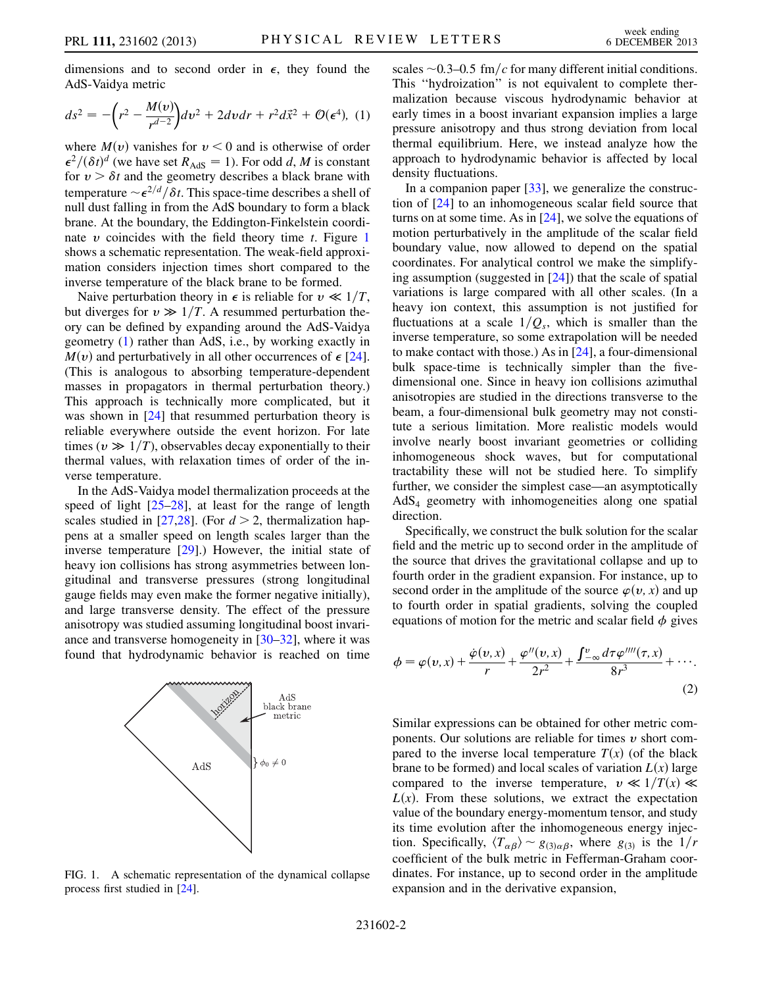dimensions and to second order in  $\epsilon$ , they found the AdS-Vaidya metric

<span id="page-1-1"></span>
$$
ds^{2} = -\left(r^{2} - \frac{M(v)}{r^{d-2}}\right)dv^{2} + 2dvdr + r^{2}d\vec{x}^{2} + \mathcal{O}(\epsilon^{4}),
$$
 (1)

where  $M(v)$  vanishes for  $v < 0$  and is otherwise of order  $\epsilon^2/(\delta t)^d$  (we have set  $R_{\text{AdS}} = 1$ ). For odd d, M is constant for  $v > \delta t$  and the geometry describes a black brane with temperature  $\sim \epsilon^{2/d}/\delta t$ . This space-time describes a shell of null dust falling in from the AdS boundary to form a black brane. At the boundary, the Eddington-Finkelstein coordinate  $\nu$  coincides with the field theory time  $t$ . Figure [1](#page-1-0) shows a schematic representation. The weak-field approximation considers injection times short compared to the inverse temperature of the black brane to be formed.

Naive perturbation theory in  $\epsilon$  is reliable for  $v \ll 1/T$ , but diverges for  $v \gg 1/T$ . A resummed perturbation theory can be defined by expanding around the AdS-Vaidya geometry [\(1\)](#page-1-1) rather than AdS, i.e., by working exactly in  $M(v)$  and perturbatively in all other occurrences of  $\epsilon$  [[24\]](#page-4-19). (This is analogous to absorbing temperature-dependent masses in propagators in thermal perturbation theory.) This approach is technically more complicated, but it was shown in [[24](#page-4-19)] that resummed perturbation theory is reliable everywhere outside the event horizon. For late times ( $v \gg 1/T$ ), observables decay exponentially to their thermal values, with relaxation times of order of the inverse temperature.

In the AdS-Vaidya model thermalization proceeds at the speed of light [\[25](#page-4-20)[–28\]](#page-4-21), at least for the range of length scales studied in [\[27](#page-4-22)[,28\]](#page-4-21). (For  $d > 2$ , thermalization happens at a smaller speed on length scales larger than the inverse temperature [[29](#page-4-23)].) However, the initial state of heavy ion collisions has strong asymmetries between longitudinal and transverse pressures (strong longitudinal gauge fields may even make the former negative initially), and large transverse density. The effect of the pressure anisotropy was studied assuming longitudinal boost invariance and transverse homogeneity in [[30](#page-4-24)–[32\]](#page-4-25), where it was found that hydrodynamic behavior is reached on time

<span id="page-1-0"></span>

FIG. 1. A schematic representation of the dynamical collapse process first studied in [\[24\]](#page-4-19).

scales  $\sim$  0.3–0.5 fm/c for many different initial conditions. This ''hydroization'' is not equivalent to complete thermalization because viscous hydrodynamic behavior at early times in a boost invariant expansion implies a large pressure anisotropy and thus strong deviation from local thermal equilibrium. Here, we instead analyze how the approach to hydrodynamic behavior is affected by local density fluctuations.

In a companion paper [\[33\]](#page-4-26), we generalize the construction of [[24](#page-4-19)] to an inhomogeneous scalar field source that turns on at some time. As in  $[24]$ , we solve the equations of motion perturbatively in the amplitude of the scalar field boundary value, now allowed to depend on the spatial coordinates. For analytical control we make the simplifying assumption (suggested in  $[24]$ ) that the scale of spatial variations is large compared with all other scales. (In a heavy ion context, this assumption is not justified for fluctuations at a scale  $1/Q_s$ , which is smaller than the inverse temperature, so some extrapolation will be needed to make contact with those.) As in [\[24\]](#page-4-19), a four-dimensional bulk space-time is technically simpler than the fivedimensional one. Since in heavy ion collisions azimuthal anisotropies are studied in the directions transverse to the beam, a four-dimensional bulk geometry may not constitute a serious limitation. More realistic models would involve nearly boost invariant geometries or colliding inhomogeneous shock waves, but for computational tractability these will not be studied here. To simplify further, we consider the simplest case—an asymptotically  $AdS<sub>4</sub>$  geometry with inhomogeneities along one spatial direction.

Specifically, we construct the bulk solution for the scalar field and the metric up to second order in the amplitude of the source that drives the gravitational collapse and up to fourth order in the gradient expansion. For instance, up to second order in the amplitude of the source  $\varphi(v, x)$  and up to fourth order in spatial gradients, solving the coupled equations of motion for the metric and scalar field  $\phi$  gives

$$
\phi = \varphi(v, x) + \frac{\dot{\varphi}(v, x)}{r} + \frac{\varphi''(v, x)}{2r^2} + \frac{\int_{-\infty}^{v} d\tau \varphi''''(\tau, x)}{8r^3} + \cdots
$$
\n(2)

Similar expressions can be obtained for other metric components. Our solutions are reliable for times  $\nu$  short compared to the inverse local temperature  $T(x)$  (of the black brane to be formed) and local scales of variation  $L(x)$  large compared to the inverse temperature,  $v \ll 1/T(x) \ll$  $L(x)$ . From these solutions, we extract the expectation value of the boundary energy-momentum tensor, and study its time evolution after the inhomogeneous energy injection. Specifically,  $\langle T_{\alpha\beta} \rangle \sim g_{(3)\alpha\beta}$ , where  $g_{(3)}$  is the  $1/r$ coefficient of the bulk metric in Fefferman-Graham coordinates. For instance, up to second order in the amplitude expansion and in the derivative expansion,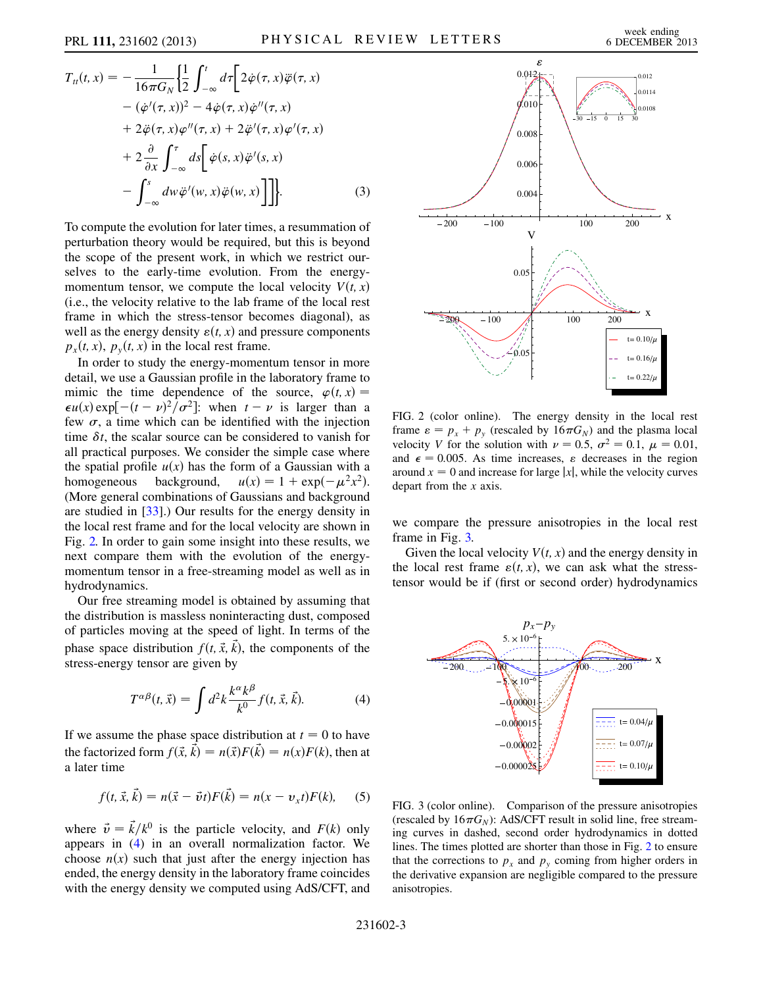$$
T_{tt}(t, x) = -\frac{1}{16\pi G_N} \left\{ \frac{1}{2} \int_{-\infty}^{t} d\tau \left[ 2\dot{\varphi}(\tau, x)\ddot{\varphi}(\tau, x) - (\dot{\varphi}'(\tau, x))^2 - 4\dot{\varphi}(\tau, x)\dot{\varphi}''(\tau, x) + 2\ddot{\varphi}(\tau, x)\varphi''(\tau, x) + 2\ddot{\varphi}'(\tau, x)\varphi'(\tau, x) + 2\frac{\partial}{\partial x} \int_{-\infty}^{\tau} ds \left[ \dot{\varphi}(s, x)\ddot{\varphi}'(s, x) - \int_{-\infty}^{s} dw\ddot{\varphi}'(w, x)\ddot{\varphi}(w, x) \right] \right] \}.
$$
 (3)

To compute the evolution for later times, a resummation of perturbation theory would be required, but this is beyond the scope of the present work, in which we restrict ourselves to the early-time evolution. From the energymomentum tensor, we compute the local velocity  $V(t, x)$ (i.e., the velocity relative to the lab frame of the local rest frame in which the stress-tensor becomes diagonal), as well as the energy density  $\varepsilon(t, x)$  and pressure components  $p_x(t, x)$ ,  $p_y(t, x)$  in the local rest frame.

In order to study the energy-momentum tensor in more detail, we use a Gaussian profile in the laboratory frame to mimic the time dependence of the source,  $\varphi(t, x) =$  $\epsilon u(x) \exp[-(t-\nu)^2/\sigma^2]$ : when  $t-\nu$  is larger than a few  $\sigma$ , a time which can be identified with the injection time  $\delta t$ , the scalar source can be considered to vanish for all practical purposes. We consider the simple case where the spatial profile  $u(x)$  has the form of a Gaussian with a homogeneous background,  $u(x) = 1 + \exp(-\mu^2 x^2)$ . homogeneous background,  $u(x) = 1 + \exp(-\mu^2 x^2)$ . (More general combinations of Gaussians and background are studied in [\[33\]](#page-4-26).) Our results for the energy density in the local rest frame and for the local velocity are shown in Fig. [2.](#page-2-0) In order to gain some insight into these results, we next compare them with the evolution of the energymomentum tensor in a free-streaming model as well as in hydrodynamics.

<span id="page-2-1"></span>Our free streaming model is obtained by assuming that the distribution is massless noninteracting dust, composed of particles moving at the speed of light. In terms of the phase space distribution  $f(t, \vec{x}, k)$ , the components of the stress-energy tensor are given by

$$
T^{\alpha\beta}(t,\vec{x}) = \int d^2k \frac{k^{\alpha}k^{\beta}}{k^0} f(t,\vec{x},\vec{k}).
$$
 (4)

If we assume the phase space distribution at  $t = 0$  to have the factorized form  $f(\vec{x}, \vec{k}) = n(\vec{x})F(\vec{k}) = n(x)F(k)$ , then at a later time

$$
f(t, \vec{x}, \vec{k}) = n(\vec{x} - \vec{v}t)F(\vec{k}) = n(x - v_xt)F(k),
$$
 (5)

where  $\vec{v} = \vec{k}/k^0$  is the particle velocity, and  $F(k)$  only appears in [\(4\)](#page-2-1) in an overall normalization factor. We choose  $n(x)$  such that just after the energy injection has ended, the energy density in the laboratory frame coincides with the energy density we computed using AdS/CFT, and

<span id="page-2-0"></span>

FIG. 2 (color online). The energy density in the local rest frame  $\varepsilon = p_x + p_y$  (rescaled by  $16\pi G_N$ ) and the plasma local velocity *V* for the solution with  $\nu = 0.5$ ,  $\sigma^2 = 0.1$ ,  $\mu = 0.01$ , and  $\epsilon = 0.005$ . As time increases,  $\epsilon$  decreases in the region around  $x = 0$  and increase for large |x|, while the velocity curves depart from the  $x$  axis.

we compare the pressure anisotropies in the local rest frame in Fig. [3.](#page-2-2)

Given the local velocity  $V(t, x)$  and the energy density in the local rest frame  $\varepsilon(t, x)$ , we can ask what the stresstensor would be if (first or second order) hydrodynamics

<span id="page-2-2"></span>

FIG. 3 (color online). Comparison of the pressure anisotropies (rescaled by  $16\pi G_N$ ): AdS/CFT result in solid line, free streaming curves in dashed, second order hydrodynamics in dotted lines. The times plotted are shorter than those in Fig. [2](#page-2-0) to ensure that the corrections to  $p_x$  and  $p_y$  coming from higher orders in the derivative expansion are negligible compared to the pressure anisotropies.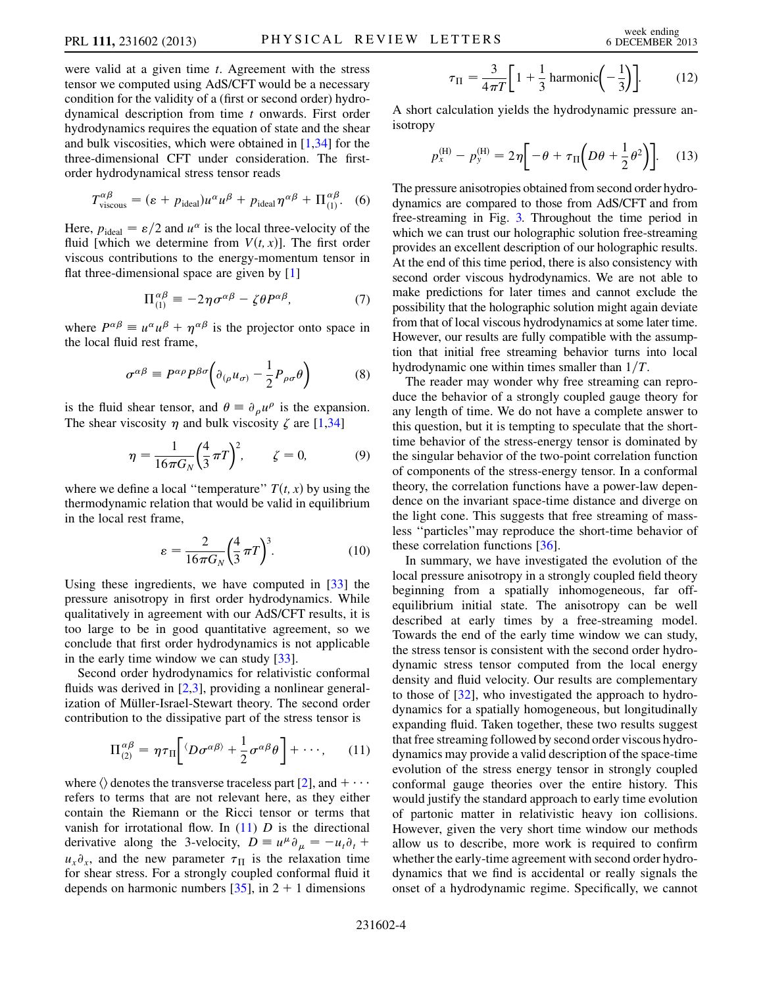were valid at a given time *t*. Agreement with the stress tensor we computed using AdS/CFT would be a necessary condition for the validity of a (first or second order) hydrodynamical description from time t onwards. First order hydrodynamics requires the equation of state and the shear and bulk viscosities, which were obtained in [[1,](#page-4-0)[34](#page-4-27)] for the three-dimensional CFT under consideration. The firstorder hydrodynamical stress tensor reads

$$
T_{\text{viscous}}^{\alpha\beta} = (\varepsilon + p_{\text{ideal}})u^{\alpha}u^{\beta} + p_{\text{ideal}}\eta^{\alpha\beta} + \Pi_{(1)}^{\alpha\beta}.
$$
 (6)

Here,  $p_{\text{ideal}} = \varepsilon/2$  and  $u^{\alpha}$  is the local three-velocity of the fluid [which we determine from  $V(t, x)$ ]. The first order viscous contributions to the energy-momentum tensor in flat three-dimensional space are given by [\[1](#page-4-0)]

$$
\Pi^{\alpha\beta}_{(1)} \equiv -2\eta\sigma^{\alpha\beta} - \zeta\theta P^{\alpha\beta},\tag{7}
$$

where  $P^{\alpha\beta} \equiv u^{\alpha}u^{\beta} + \eta^{\alpha\beta}$  is the projector onto space in the local fluid rest frame,

$$
\sigma^{\alpha\beta} \equiv P^{\alpha\rho} P^{\beta\sigma} \bigg( \partial_{(\rho} u_{\sigma)} - \frac{1}{2} P_{\rho\sigma} \theta \bigg) \tag{8}
$$

is the fluid shear tensor, and  $\theta \equiv \partial_{\rho} u^{\rho}$  is the expansion. The shear viscosity  $\eta$  and bulk viscosity  $\zeta$  are [\[1](#page-4-0),[34](#page-4-27)]

$$
\eta = \frac{1}{16\pi G_N} \left(\frac{4}{3}\pi T\right)^2, \qquad \zeta = 0,
$$
 (9)

where we define a local "temperature"  $T(t, x)$  by using the thermodynamic relation that would be valid in equilibrium in the local rest frame,

$$
\varepsilon = \frac{2}{16\pi G_N} \left(\frac{4}{3}\pi T\right)^3. \tag{10}
$$

Using these ingredients, we have computed in [\[33\]](#page-4-26) the pressure anisotropy in first order hydrodynamics. While qualitatively in agreement with our AdS/CFT results, it is too large to be in good quantitative agreement, so we conclude that first order hydrodynamics is not applicable in the early time window we can study [\[33\]](#page-4-26).

<span id="page-3-0"></span>Second order hydrodynamics for relativistic conformal fluids was derived in  $[2,3]$  $[2,3]$  $[2,3]$ , providing a nonlinear generalization of Müller-Israel-Stewart theory. The second order contribution to the dissipative part of the stress tensor is

$$
\Pi^{\alpha\beta}_{(2)} = \eta\tau_{\Pi}\bigg[\langle D\sigma^{\alpha\beta\rangle} + \frac{1}{2}\sigma^{\alpha\beta}\theta\bigg] + \cdots, \qquad (11)
$$

where  $\langle \rangle$  denotes the transverse traceless part [\[2](#page-4-1)], and  $+ \cdots$ refers to terms that are not relevant here, as they either contain the Riemann or the Ricci tensor or terms that vanish for irrotational flow. In  $(11)$  $(11)$  $(11)$  D is the directional derivative along the 3-velocity,  $D \equiv u^{\mu} \partial_{\mu} = -u_t \partial_t +$  $u_x \partial_x$ , and the new parameter  $\tau_{\Pi}$  is the relaxation time for shear stress. For a strongly coupled conformal fluid it depends on harmonic numbers  $[35]$  $[35]$  $[35]$ , in 2 + 1 dimensions

$$
\tau_{\Pi} = \frac{3}{4\pi T} \left[ 1 + \frac{1}{3} \operatorname{harmonic} \left( -\frac{1}{3} \right) \right].
$$
 (12)

A short calculation yields the hydrodynamic pressure anisotropy

$$
p_x^{(\text{H})} - p_y^{(\text{H})} = 2\eta \left[ -\theta + \tau_\text{II} \left( D\theta + \frac{1}{2} \theta^2 \right) \right]. \tag{13}
$$

The pressure anisotropies obtained from second order hydrodynamics are compared to those from AdS/CFT and from free-streaming in Fig. [3.](#page-2-2) Throughout the time period in which we can trust our holographic solution free-streaming provides an excellent description of our holographic results. At the end of this time period, there is also consistency with second order viscous hydrodynamics. We are not able to make predictions for later times and cannot exclude the possibility that the holographic solution might again deviate from that of local viscous hydrodynamics at some later time. However, our results are fully compatible with the assumption that initial free streaming behavior turns into local hydrodynamic one within times smaller than  $1/T$ .

The reader may wonder why free streaming can reproduce the behavior of a strongly coupled gauge theory for any length of time. We do not have a complete answer to this question, but it is tempting to speculate that the shorttime behavior of the stress-energy tensor is dominated by the singular behavior of the two-point correlation function of components of the stress-energy tensor. In a conformal theory, the correlation functions have a power-law dependence on the invariant space-time distance and diverge on the light cone. This suggests that free streaming of massless ''particles''may reproduce the short-time behavior of these correlation functions [[36](#page-4-29)].

In summary, we have investigated the evolution of the local pressure anisotropy in a strongly coupled field theory beginning from a spatially inhomogeneous, far offequilibrium initial state. The anisotropy can be well described at early times by a free-streaming model. Towards the end of the early time window we can study, the stress tensor is consistent with the second order hydrodynamic stress tensor computed from the local energy density and fluid velocity. Our results are complementary to those of [[32](#page-4-25)], who investigated the approach to hydrodynamics for a spatially homogeneous, but longitudinally expanding fluid. Taken together, these two results suggest that free streaming followed by second order viscous hydrodynamics may provide a valid description of the space-time evolution of the stress energy tensor in strongly coupled conformal gauge theories over the entire history. This would justify the standard approach to early time evolution of partonic matter in relativistic heavy ion collisions. However, given the very short time window our methods allow us to describe, more work is required to confirm whether the early-time agreement with second order hydrodynamics that we find is accidental or really signals the onset of a hydrodynamic regime. Specifically, we cannot